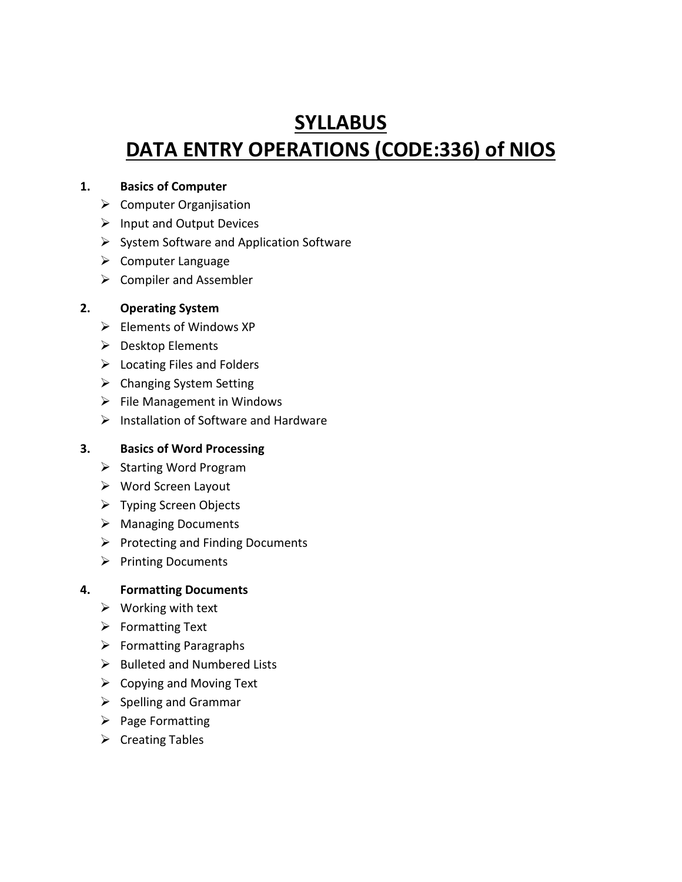# **SYLLABUS DATA ENTRY OPERATIONS (CODE:336) of NIOS**

## **1. Basics of Computer**

- $\triangleright$  Computer Organjisation
- $\triangleright$  Input and Output Devices
- $\triangleright$  System Software and Application Software
- $\triangleright$  Computer Language
- $\triangleright$  Compiler and Assembler

## **2. Operating System**

- $\triangleright$  Elements of Windows XP
- $\triangleright$  Desktop Elements
- $\triangleright$  Locating Files and Folders
- $\triangleright$  Changing System Setting
- $\triangleright$  File Management in Windows
- $\triangleright$  Installation of Software and Hardware

### **3. Basics of Word Processing**

- $\triangleright$  Starting Word Program
- Word Screen Layout
- Typing Screen Objects
- Managing Documents
- $\triangleright$  Protecting and Finding Documents
- $\triangleright$  Printing Documents

### **4. Formatting Documents**

- $\triangleright$  Working with text
- $\triangleright$  Formatting Text
- $\triangleright$  Formatting Paragraphs
- $\triangleright$  Bulleted and Numbered Lists
- $\triangleright$  Copying and Moving Text
- $\triangleright$  Spelling and Grammar
- $\triangleright$  Page Formatting
- $\triangleright$  Creating Tables